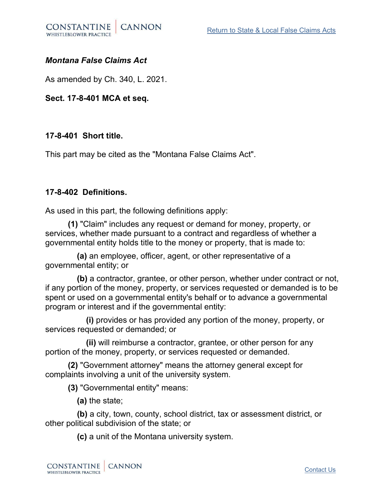

## *Montana False Claims Act*

As amended by Ch. 340, L. 2021.

**Sect. 17-8-401 MCA et seq.**

## **17-8-401 Short title.**

This part may be cited as the "Montana False Claims Act".

## **17-8-402 Definitions.**

As used in this part, the following definitions apply:

 **(1)** "Claim" includes any request or demand for money, property, or services, whether made pursuant to a contract and regardless of whether a governmental entity holds title to the money or property, that is made to:

 **(a)** an employee, officer, agent, or other representative of a governmental entity; or

 **(b)** a contractor, grantee, or other person, whether under contract or not, if any portion of the money, property, or services requested or demanded is to be spent or used on a governmental entity's behalf or to advance a governmental program or interest and if the governmental entity:

 **(i)** provides or has provided any portion of the money, property, or services requested or demanded; or

 **(ii)** will reimburse a contractor, grantee, or other person for any portion of the money, property, or services requested or demanded.

 **(2)** "Government attorney" means the attorney general except for complaints involving a unit of the university system.

**(3)** "Governmental entity" means:

**(a)** the state;

 **(b)** a city, town, county, school district, tax or assessment district, or other political subdivision of the state; or

**(c)** a unit of the Montana university system.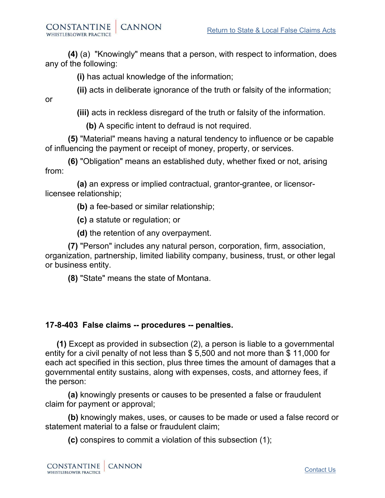or

 **(4)** (a) "Knowingly" means that a person, with respect to information, does any of the following:

**(i)** has actual knowledge of the information;

**(ii)** acts in deliberate ignorance of the truth or falsity of the information;

**(iii)** acts in reckless disregard of the truth or falsity of the information.

**(b)** A specific intent to defraud is not required.

 **(5)** "Material" means having a natural tendency to influence or be capable of influencing the payment or receipt of money, property, or services.

 **(6)** "Obligation" means an established duty, whether fixed or not, arising from:

 **(a)** an express or implied contractual, grantor-grantee, or licensorlicensee relationship;

**(b)** a fee-based or similar relationship;

**(c)** a statute or regulation; or

**(d)** the retention of any overpayment.

 **(7)** "Person" includes any natural person, corporation, firm, association, organization, partnership, limited liability company, business, trust, or other legal or business entity.

**(8)** "State" means the state of Montana.

## **17-8-403 False claims -- procedures -- penalties.**

**(1)** Except as provided in subsection (2), a person is liable to a governmental entity for a civil penalty of not less than \$ 5,500 and not more than \$ 11,000 for each act specified in this section, plus three times the amount of damages that a governmental entity sustains, along with expenses, costs, and attorney fees, if the person:

 **(a)** knowingly presents or causes to be presented a false or fraudulent claim for payment or approval;

 **(b)** knowingly makes, uses, or causes to be made or used a false record or statement material to a false or fraudulent claim;

**(c)** conspires to commit a violation of this subsection (1);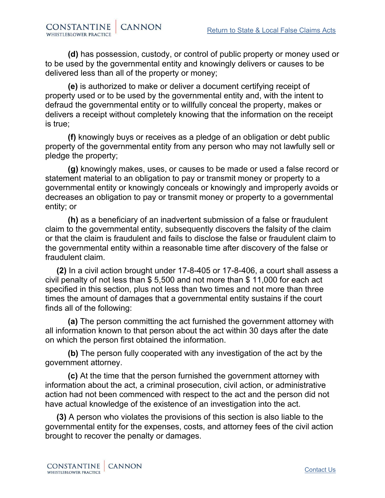**(d)** has possession, custody, or control of public property or money used or to be used by the governmental entity and knowingly delivers or causes to be delivered less than all of the property or money;

 **(e)** is authorized to make or deliver a document certifying receipt of property used or to be used by the governmental entity and, with the intent to defraud the governmental entity or to willfully conceal the property, makes or delivers a receipt without completely knowing that the information on the receipt is true;

 **(f)** knowingly buys or receives as a pledge of an obligation or debt public property of the governmental entity from any person who may not lawfully sell or pledge the property;

 **(g)** knowingly makes, uses, or causes to be made or used a false record or statement material to an obligation to pay or transmit money or property to a governmental entity or knowingly conceals or knowingly and improperly avoids or decreases an obligation to pay or transmit money or property to a governmental entity; or

 **(h)** as a beneficiary of an inadvertent submission of a false or fraudulent claim to the governmental entity, subsequently discovers the falsity of the claim or that the claim is fraudulent and fails to disclose the false or fraudulent claim to the governmental entity within a reasonable time after discovery of the false or fraudulent claim.

**(2)** In a civil action brought under 17-8-405 or 17-8-406, a court shall assess a civil penalty of not less than \$ 5,500 and not more than \$ 11,000 for each act specified in this section, plus not less than two times and not more than three times the amount of damages that a governmental entity sustains if the court finds all of the following:

 **(a)** The person committing the act furnished the government attorney with all information known to that person about the act within 30 days after the date on which the person first obtained the information.

 **(b)** The person fully cooperated with any investigation of the act by the government attorney.

 **(c)** At the time that the person furnished the government attorney with information about the act, a criminal prosecution, civil action, or administrative action had not been commenced with respect to the act and the person did not have actual knowledge of the existence of an investigation into the act.

**(3)** A person who violates the provisions of this section is also liable to the governmental entity for the expenses, costs, and attorney fees of the civil action brought to recover the penalty or damages.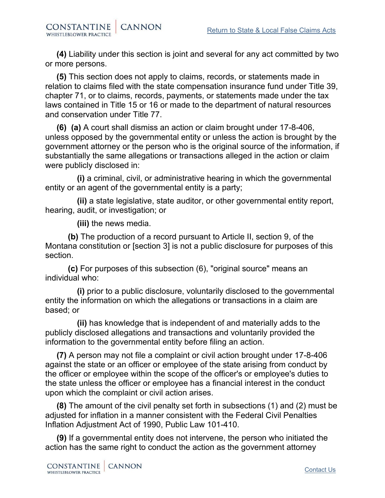**(4)** Liability under this section is joint and several for any act committed by two or more persons.

**(5)** This section does not apply to claims, records, or statements made in relation to claims filed with the state compensation insurance fund under Title 39, chapter 71, or to claims, records, payments, or statements made under the tax laws contained in Title 15 or 16 or made to the department of natural resources and conservation under Title 77.

**(6) (a)** A court shall dismiss an action or claim brought under 17-8-406, unless opposed by the governmental entity or unless the action is brought by the government attorney or the person who is the original source of the information, if substantially the same allegations or transactions alleged in the action or claim were publicly disclosed in:

 **(i)** a criminal, civil, or administrative hearing in which the governmental entity or an agent of the governmental entity is a party;

 **(ii)** a state legislative, state auditor, or other governmental entity report, hearing, audit, or investigation; or

**(iii)** the news media.

 **(b)** The production of a record pursuant to Article II, section 9, of the Montana constitution or [section 3] is not a public disclosure for purposes of this section.

 **(c)** For purposes of this subsection (6), "original source" means an individual who:

 **(i)** prior to a public disclosure, voluntarily disclosed to the governmental entity the information on which the allegations or transactions in a claim are based; or

 **(ii)** has knowledge that is independent of and materially adds to the publicly disclosed allegations and transactions and voluntarily provided the information to the governmental entity before filing an action.

**(7)** A person may not file a complaint or civil action brought under 17-8-406 against the state or an officer or employee of the state arising from conduct by the officer or employee within the scope of the officer's or employee's duties to the state unless the officer or employee has a financial interest in the conduct upon which the complaint or civil action arises.

**(8)** The amount of the civil penalty set forth in subsections (1) and (2) must be adjusted for inflation in a manner consistent with the Federal Civil Penalties Inflation Adjustment Act of 1990, Public Law 101-410.

**(9)** If a governmental entity does not intervene, the person who initiated the action has the same right to conduct the action as the government attorney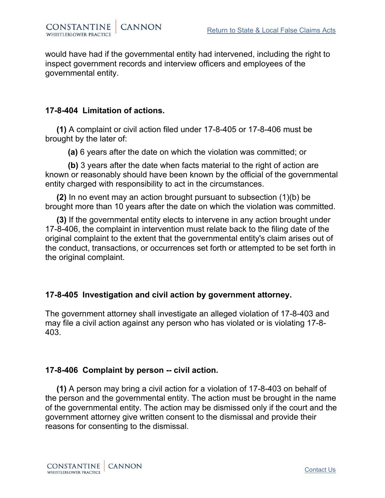would have had if the governmental entity had intervened, including the right to inspect government records and interview officers and employees of the governmental entity.

### **17-8-404 Limitation of actions.**

**(1)** A complaint or civil action filed under 17-8-405 or 17-8-406 must be brought by the later of:

**(a)** 6 years after the date on which the violation was committed; or

 **(b)** 3 years after the date when facts material to the right of action are known or reasonably should have been known by the official of the governmental entity charged with responsibility to act in the circumstances.

**(2)** In no event may an action brought pursuant to subsection (1)(b) be brought more than 10 years after the date on which the violation was committed.

**(3)** If the governmental entity elects to intervene in any action brought under 17-8-406, the complaint in intervention must relate back to the filing date of the original complaint to the extent that the governmental entity's claim arises out of the conduct, transactions, or occurrences set forth or attempted to be set forth in the original complaint.

## **17-8-405 Investigation and civil action by government attorney.**

The government attorney shall investigate an alleged violation of 17-8-403 and may file a civil action against any person who has violated or is violating 17-8- 403.

## **17-8-406 Complaint by person -- civil action.**

**(1)** A person may bring a civil action for a violation of 17-8-403 on behalf of the person and the governmental entity. The action must be brought in the name of the governmental entity. The action may be dismissed only if the court and the government attorney give written consent to the dismissal and provide their reasons for consenting to the dismissal.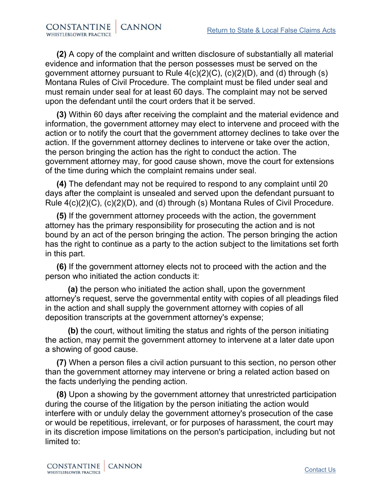**(2)** A copy of the complaint and written disclosure of substantially all material evidence and information that the person possesses must be served on the government attorney pursuant to Rule 4(c)(2)(C), (c)(2)(D), and (d) through (s) Montana Rules of Civil Procedure. The complaint must be filed under seal and must remain under seal for at least 60 days. The complaint may not be served upon the defendant until the court orders that it be served.

**(3)** Within 60 days after receiving the complaint and the material evidence and information, the government attorney may elect to intervene and proceed with the action or to notify the court that the government attorney declines to take over the action. If the government attorney declines to intervene or take over the action, the person bringing the action has the right to conduct the action. The government attorney may, for good cause shown, move the court for extensions of the time during which the complaint remains under seal.

**(4)** The defendant may not be required to respond to any complaint until 20 days after the complaint is unsealed and served upon the defendant pursuant to Rule 4(c)(2)(C), (c)(2)(D), and (d) through (s) Montana Rules of Civil Procedure.

**(5)** If the government attorney proceeds with the action, the government attorney has the primary responsibility for prosecuting the action and is not bound by an act of the person bringing the action. The person bringing the action has the right to continue as a party to the action subject to the limitations set forth in this part.

**(6)** If the government attorney elects not to proceed with the action and the person who initiated the action conducts it:

 **(a)** the person who initiated the action shall, upon the government attorney's request, serve the governmental entity with copies of all pleadings filed in the action and shall supply the government attorney with copies of all deposition transcripts at the government attorney's expense;

 **(b)** the court, without limiting the status and rights of the person initiating the action, may permit the government attorney to intervene at a later date upon a showing of good cause.

**(7)** When a person files a civil action pursuant to this section, no person other than the government attorney may intervene or bring a related action based on the facts underlying the pending action.

**(8)** Upon a showing by the government attorney that unrestricted participation during the course of the litigation by the person initiating the action would interfere with or unduly delay the government attorney's prosecution of the case or would be repetitious, irrelevant, or for purposes of harassment, the court may in its discretion impose limitations on the person's participation, including but not limited to: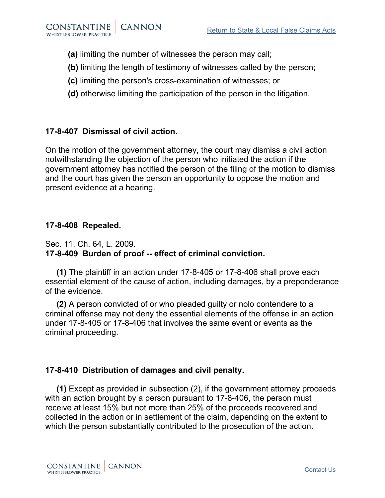- **(a)** limiting the number of witnesses the person may call;
- **(b)** limiting the length of testimony of witnesses called by the person;
- **(c)** limiting the person's cross-examination of witnesses; or
- **(d)** otherwise limiting the participation of the person in the litigation.

# **17-8-407 Dismissal of civil action.**

On the motion of the government attorney, the court may dismiss a civil action notwithstanding the objection of the person who initiated the action if the government attorney has notified the person of the filing of the motion to dismiss and the court has given the person an opportunity to oppose the motion and present evidence at a hearing.

## **17-8-408 Repealed.**

#### Sec. 11, Ch. 64, L. 2009. **17-8-409 Burden of proof -- effect of criminal conviction.**

**(1)** The plaintiff in an action under 17-8-405 or 17-8-406 shall prove each essential element of the cause of action, including damages, by a preponderance of the evidence.

**(2)** A person convicted of or who pleaded guilty or nolo contendere to a criminal offense may not deny the essential elements of the offense in an action under 17-8-405 or 17-8-406 that involves the same event or events as the criminal proceeding.

# **17-8-410 Distribution of damages and civil penalty.**

**(1)** Except as provided in subsection (2), if the government attorney proceeds with an action brought by a person pursuant to 17-8-406, the person must receive at least 15% but not more than 25% of the proceeds recovered and collected in the action or in settlement of the claim, depending on the extent to which the person substantially contributed to the prosecution of the action.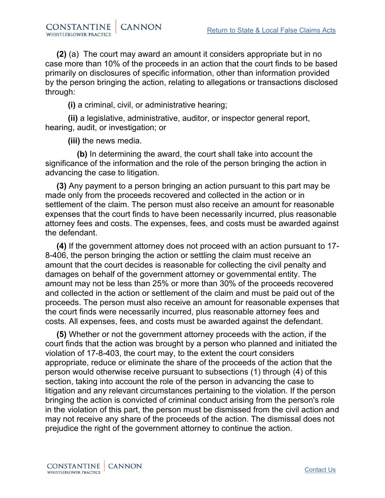**(2)** (a) The court may award an amount it considers appropriate but in no case more than 10% of the proceeds in an action that the court finds to be based primarily on disclosures of specific information, other than information provided by the person bringing the action, relating to allegations or transactions disclosed through:

**(i)** a criminal, civil, or administrative hearing;

 **(ii)** a legislative, administrative, auditor, or inspector general report, hearing, audit, or investigation; or

**(iii)** the news media.

 **(b)** In determining the award, the court shall take into account the significance of the information and the role of the person bringing the action in advancing the case to litigation.

**(3)** Any payment to a person bringing an action pursuant to this part may be made only from the proceeds recovered and collected in the action or in settlement of the claim. The person must also receive an amount for reasonable expenses that the court finds to have been necessarily incurred, plus reasonable attorney fees and costs. The expenses, fees, and costs must be awarded against the defendant.

**(4)** If the government attorney does not proceed with an action pursuant to 17- 8-406, the person bringing the action or settling the claim must receive an amount that the court decides is reasonable for collecting the civil penalty and damages on behalf of the government attorney or governmental entity. The amount may not be less than 25% or more than 30% of the proceeds recovered and collected in the action or settlement of the claim and must be paid out of the proceeds. The person must also receive an amount for reasonable expenses that the court finds were necessarily incurred, plus reasonable attorney fees and costs. All expenses, fees, and costs must be awarded against the defendant.

**(5)** Whether or not the government attorney proceeds with the action, if the court finds that the action was brought by a person who planned and initiated the violation of 17-8-403, the court may, to the extent the court considers appropriate, reduce or eliminate the share of the proceeds of the action that the person would otherwise receive pursuant to subsections (1) through (4) of this section, taking into account the role of the person in advancing the case to litigation and any relevant circumstances pertaining to the violation. If the person bringing the action is convicted of criminal conduct arising from the person's role in the violation of this part, the person must be dismissed from the civil action and may not receive any share of the proceeds of the action. The dismissal does not prejudice the right of the government attorney to continue the action.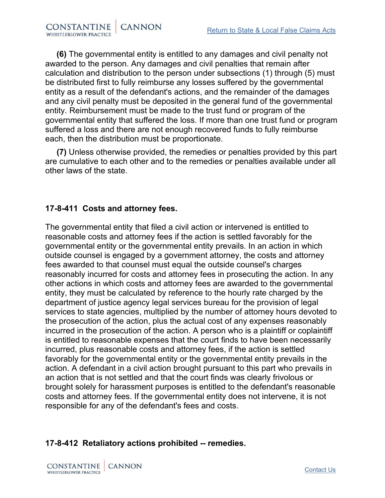**(6)** The governmental entity is entitled to any damages and civil penalty not awarded to the person. Any damages and civil penalties that remain after calculation and distribution to the person under subsections (1) through (5) must be distributed first to fully reimburse any losses suffered by the governmental entity as a result of the defendant's actions, and the remainder of the damages and any civil penalty must be deposited in the general fund of the governmental entity. Reimbursement must be made to the trust fund or program of the governmental entity that suffered the loss. If more than one trust fund or program suffered a loss and there are not enough recovered funds to fully reimburse each, then the distribution must be proportionate.

**(7)** Unless otherwise provided, the remedies or penalties provided by this part are cumulative to each other and to the remedies or penalties available under all other laws of the state.

## **17-8-411 Costs and attorney fees.**

The governmental entity that filed a civil action or intervened is entitled to reasonable costs and attorney fees if the action is settled favorably for the governmental entity or the governmental entity prevails. In an action in which outside counsel is engaged by a government attorney, the costs and attorney fees awarded to that counsel must equal the outside counsel's charges reasonably incurred for costs and attorney fees in prosecuting the action. In any other actions in which costs and attorney fees are awarded to the governmental entity, they must be calculated by reference to the hourly rate charged by the department of justice agency legal services bureau for the provision of legal services to state agencies, multiplied by the number of attorney hours devoted to the prosecution of the action, plus the actual cost of any expenses reasonably incurred in the prosecution of the action. A person who is a plaintiff or coplaintiff is entitled to reasonable expenses that the court finds to have been necessarily incurred, plus reasonable costs and attorney fees, if the action is settled favorably for the governmental entity or the governmental entity prevails in the action. A defendant in a civil action brought pursuant to this part who prevails in an action that is not settled and that the court finds was clearly frivolous or brought solely for harassment purposes is entitled to the defendant's reasonable costs and attorney fees. If the governmental entity does not intervene, it is not responsible for any of the defendant's fees and costs.

## **17-8-412 Retaliatory actions prohibited -- remedies.**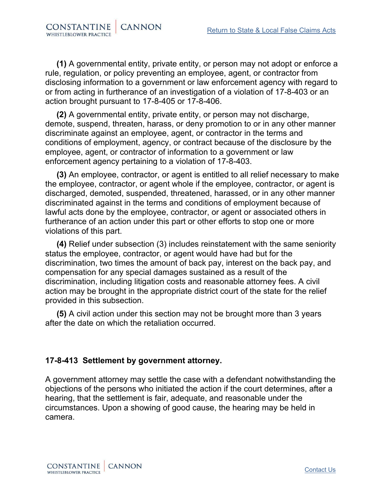**(1)** A governmental entity, private entity, or person may not adopt or enforce a rule, regulation, or policy preventing an employee, agent, or contractor from disclosing information to a government or law enforcement agency with regard to or from acting in furtherance of an investigation of a violation of 17-8-403 or an action brought pursuant to 17-8-405 or 17-8-406.

**(2)** A governmental entity, private entity, or person may not discharge, demote, suspend, threaten, harass, or deny promotion to or in any other manner discriminate against an employee, agent, or contractor in the terms and conditions of employment, agency, or contract because of the disclosure by the employee, agent, or contractor of information to a government or law enforcement agency pertaining to a violation of 17-8-403.

**(3)** An employee, contractor, or agent is entitled to all relief necessary to make the employee, contractor, or agent whole if the employee, contractor, or agent is discharged, demoted, suspended, threatened, harassed, or in any other manner discriminated against in the terms and conditions of employment because of lawful acts done by the employee, contractor, or agent or associated others in furtherance of an action under this part or other efforts to stop one or more violations of this part.

**(4)** Relief under subsection (3) includes reinstatement with the same seniority status the employee, contractor, or agent would have had but for the discrimination, two times the amount of back pay, interest on the back pay, and compensation for any special damages sustained as a result of the discrimination, including litigation costs and reasonable attorney fees. A civil action may be brought in the appropriate district court of the state for the relief provided in this subsection.

**(5)** A civil action under this section may not be brought more than 3 years after the date on which the retaliation occurred.

## **17-8-413 Settlement by government attorney.**

A government attorney may settle the case with a defendant notwithstanding the objections of the persons who initiated the action if the court determines, after a hearing, that the settlement is fair, adequate, and reasonable under the circumstances. Upon a showing of good cause, the hearing may be held in camera.